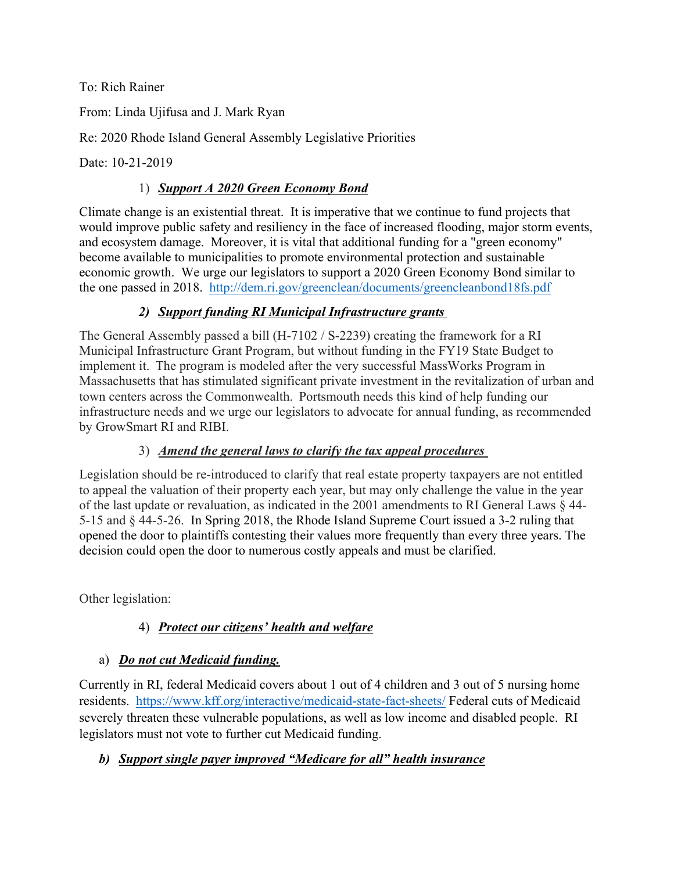To: Rich Rainer

From: Linda Ujifusa and J. Mark Ryan

Re: 2020 Rhode Island General Assembly Legislative Priorities

Date: 10-21-2019

### 1) *Support A 2020 Green Economy Bond*

Climate change is an existential threat. It is imperative that we continue to fund projects that would improve public safety and resiliency in the face of increased flooding, major storm events, and ecosystem damage. Moreover, it is vital that additional funding for a "green economy" become available to municipalities to promote environmental protection and sustainable economic growth. We urge our legislators to support a 2020 Green Economy Bond similar to the one passed in 2018. http://dem.ri.gov/greenclean/documents/greencleanbond18fs.pdf

### *2) Support funding RI Municipal Infrastructure grants*

The General Assembly passed a bill (H-7102 / S-2239) creating the framework for a RI Municipal Infrastructure Grant Program, but without funding in the FY19 State Budget to implement it.  The program is modeled after the very successful MassWorks Program in Massachusetts that has stimulated significant private investment in the revitalization of urban and town centers across the Commonwealth.  Portsmouth needs this kind of help funding our infrastructure needs and we urge our legislators to advocate for annual funding, as recommended by GrowSmart RI and RIBI.<br><sup>3</sup>*Amend the general laws to clarify the tax appeal procedures* 

Legislation should be re-introduced to clarify that real estate property taxpayers are not entitled to appeal the valuation of their property each year, but may only challenge the value in the year of the last update or revaluation, as indicated in the 2001 amendments to RI General Laws § 44- 5-15 and § 44-5-26. In Spring 2018, the Rhode Island Supreme Court issued a 3-2 ruling that opened the door to plaintiffs contesting their values more frequently than every three years. The decision could open the door to numerous costly appeals and must be clarified.

Other legislation:

# 4) *Protect our citizens' health and welfare*

a) *Do not cut Medicaid funding.* Currently in RI, federal Medicaid covers about 1 out of 4 children and 3 out of 5 nursing home residents. https://www.kff.org/interactive/medicaid-state-fact-sheets/ Federal cuts of Medicaid severely threaten these vulnerable populations, as well as low income and disabled people. RI legislators must not vote to further cut Medicaid funding.

# *b) Support single payer improved "Medicare for all" health insurance*